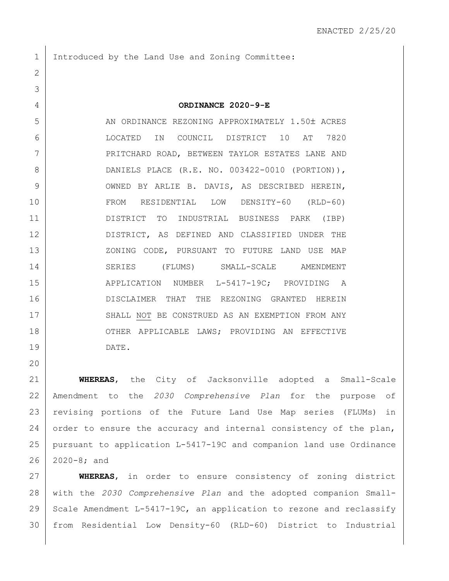1 Introduced by the Land Use and Zoning Committee:

2

20

3 4 **ORDINANCE 2020-9-E** 5 AN ORDINANCE REZONING APPROXIMATELY 1.50± ACRES 6 LOCATED IN COUNCIL DISTRICT 10 AT 7820 7 PRITCHARD ROAD, BETWEEN TAYLOR ESTATES LANE AND 8 DANIELS PLACE (R.E. NO. 003422-0010 (PORTION)), 9 OWNED BY ARLIE B. DAVIS, AS DESCRIBED HEREIN, 10 FROM RESIDENTIAL LOW DENSITY-60 (RLD-60) 11 DISTRICT TO INDUSTRIAL BUSINESS PARK (IBP) 12 DISTRICT, AS DEFINED AND CLASSIFIED UNDER THE 13 XONING CODE, PURSUANT TO FUTURE LAND USE MAP 14 SERIES (FLUMS) SMALL-SCALE AMENDMENT 15 | APPLICATION NUMBER L-5417-19C; PROVIDING A 16 DISCLAIMER THAT THE REZONING GRANTED HEREIN 17 SHALL NOT BE CONSTRUED AS AN EXEMPTION FROM ANY 18 OTHER APPLICABLE LAWS; PROVIDING AN EFFECTIVE 19 DATE.

 **WHEREAS**, the City of Jacksonville adopted a Small-Scale Amendment to the *2030 Comprehensive Plan* for the purpose of revising portions of the Future Land Use Map series (FLUMs) in 24 order to ensure the accuracy and internal consistency of the plan, pursuant to application L-5417-19C and companion land use Ordinance 2020-8; and

 **WHEREAS**, in order to ensure consistency of zoning district with the *2030 Comprehensive Plan* and the adopted companion Small-29 Scale Amendment L-5417-19C, an application to rezone and reclassify from Residential Low Density-60 (RLD-60) District to Industrial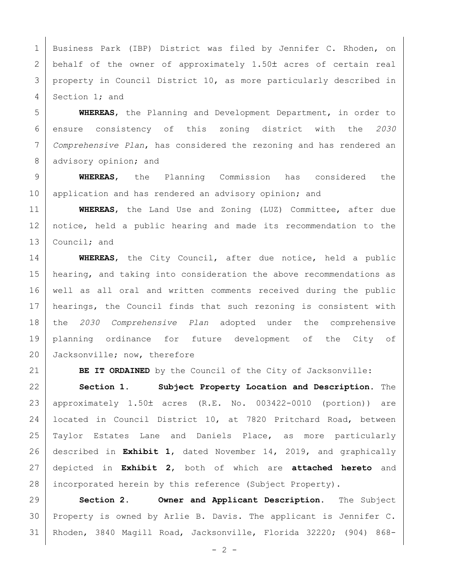1 | Business Park (IBP) District was filed by Jennifer C. Rhoden, on 2 behalf of the owner of approximately  $1.50<sup>±</sup>$  acres of certain real 3 property in Council District 10, as more particularly described in 4 Section 1; and

 **WHEREAS**, the Planning and Development Department, in order to ensure consistency of this zoning district with the *2030 Comprehensive Plan*, has considered the rezoning and has rendered an 8 advisory opinion; and

9 **WHEREAS**, the Planning Commission has considered the 10 application and has rendered an advisory opinion; and

11 **WHEREAS**, the Land Use and Zoning (LUZ) Committee, after due 12 notice, held a public hearing and made its recommendation to the 13 Council; and

14 **WHEREAS**, the City Council, after due notice, held a public 15 | hearing, and taking into consideration the above recommendations as 16 well as all oral and written comments received during the public 17 | hearings, the Council finds that such rezoning is consistent with 18 the *2030 Comprehensive Plan* adopted under the comprehensive 19 planning ordinance for future development of the City of 20 Jacksonville; now, therefore

21 **BE IT ORDAINED** by the Council of the City of Jacksonville:

 **Section 1. Subject Property Location and Description.** The 23 | approximately  $1.50\pm$  acres (R.E. No. 003422-0010 (portion)) are located in Council District 10, at 7820 Pritchard Road, between Taylor Estates Lane and Daniels Place, as more particularly described in **Exhibit 1**, dated November 14, 2019, and graphically depicted in **Exhibit 2**, both of which are **attached hereto** and 28 incorporated herein by this reference (Subject Property).

29 **Section 2. Owner and Applicant Description.** The Subject 30 Property is owned by Arlie B. Davis. The applicant is Jennifer C. 31 Rhoden, 3840 Magill Road, Jacksonville, Florida 32220; (904) 868-

 $- 2 -$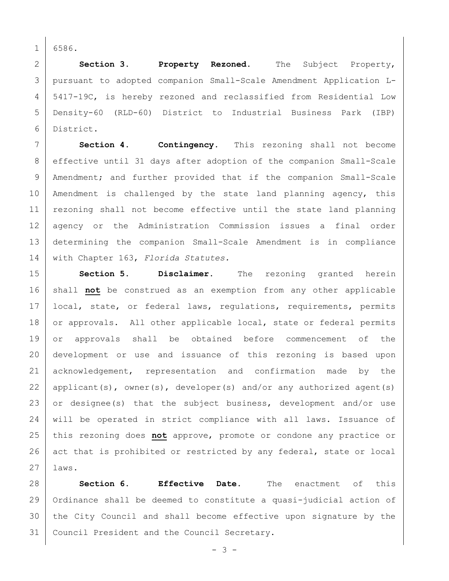1 6586.

 **Section 3. Property Rezoned.** The Subject Property, pursuant to adopted companion Small-Scale Amendment Application L- 5417-19C, is hereby rezoned and reclassified from Residential Low Density-60 (RLD-60) District to Industrial Business Park (IBP) District.

7 **Section 4. Contingency.** This rezoning shall not become 8 | effective until 31 days after adoption of the companion Small-Scale 9 | Amendment; and further provided that if the companion Small-Scale 10 | Amendment is challenged by the state land planning agency, this 11 | rezoning shall not become effective until the state land planning 12 agency or the Administration Commission issues a final order 13 determining the companion Small-Scale Amendment is in compliance 14 with Chapter 163, *Florida Statutes.*

15 **Section 5. Disclaimer.** The rezoning granted herein 16 shall **not** be construed as an exemption from any other applicable 17 | local, state, or federal laws, regulations, requirements, permits 18 or approvals. All other applicable local, state or federal permits 19 or approvals shall be obtained before commencement of the 20 development or use and issuance of this rezoning is based upon 21 acknowledgement, representation and confirmation made by the 22 | applicant(s), owner(s), developer(s) and/or any authorized agent(s) 23 or designee(s) that the subject business, development and/or use 24 will be operated in strict compliance with all laws. Issuance of 25 this rezoning does **not** approve, promote or condone any practice or 26 act that is prohibited or restricted by any federal, state or local 27 laws.

 **Section 6. Effective Date.** The enactment of this Ordinance shall be deemed to constitute a quasi-judicial action of 30 the City Council and shall become effective upon signature by the Council President and the Council Secretary.

- 3 -